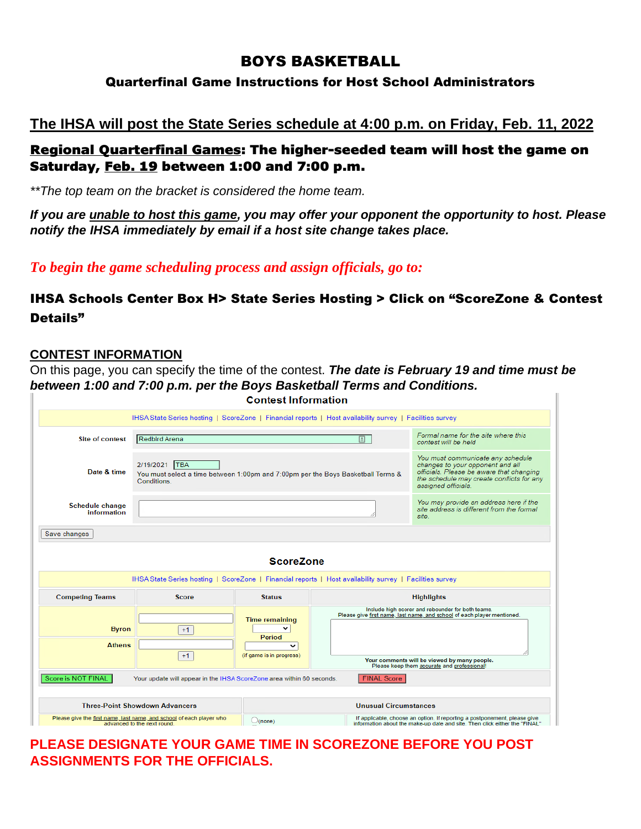# BOYS BASKETBALL

#### Quarterfinal Game Instructions for Host School Administrators

# **The IHSA will post the State Series schedule at 4:00 p.m. on Friday, Feb. 11, 2022**

## Regional Quarterfinal Games: The higher-seeded team will host the game on Saturday, Feb. 19 between 1:00 and 7:00 p.m.

*\*\*The top team on the bracket is considered the home team.*

*If you are unable to host this game, you may offer your opponent the opportunity to host. Please notify the IHSA immediately by email if a host site change takes place.*

*To begin the game scheduling process and assign officials, go to:*

## IHSA Schools Center Box H> State Series Hosting > Click on "ScoreZone & Contest Details"

#### **CONTEST INFORMATION**

On this page, you can specify the time of the contest. *The date is February 19 and time must be between 1:00 and 7:00 p.m. per the Boys Basketball Terms and Conditions.*

|                                                                                                                              |                                                                                                                 | <b>Contest Information</b>                                                                                                                                                            |  |                                                                                                                                                                                                                             |  |  |  |
|------------------------------------------------------------------------------------------------------------------------------|-----------------------------------------------------------------------------------------------------------------|---------------------------------------------------------------------------------------------------------------------------------------------------------------------------------------|--|-----------------------------------------------------------------------------------------------------------------------------------------------------------------------------------------------------------------------------|--|--|--|
|                                                                                                                              | IHSA State Series hosting   ScoreZone   Financial reports   Host availability survey   Facilities survey        |                                                                                                                                                                                       |  |                                                                                                                                                                                                                             |  |  |  |
| <b>Site of contest</b>                                                                                                       | Redbird Arena                                                                                                   | Formal name for the site where this<br>contest will be held.                                                                                                                          |  |                                                                                                                                                                                                                             |  |  |  |
| Date & time                                                                                                                  | 2/19/2021 TBA<br>You must select a time between 1:00pm and 7:00pm per the Boys Basketball Terms &<br>Conditions | You must communicate any schedule<br>changes to your opponent and all<br>officials. Please be aware that changing<br>the schedule may create conflicts for any<br>assigned officials. |  |                                                                                                                                                                                                                             |  |  |  |
| <b>Schedule change</b><br>information                                                                                        |                                                                                                                 | You may provide an address here if the<br>site address is different from the formal<br>site.                                                                                          |  |                                                                                                                                                                                                                             |  |  |  |
| Save changes                                                                                                                 |                                                                                                                 |                                                                                                                                                                                       |  |                                                                                                                                                                                                                             |  |  |  |
| <b>ScoreZone</b><br>IHSA State Series hosting   ScoreZone   Financial reports   Host availability survey   Facilities survey |                                                                                                                 |                                                                                                                                                                                       |  |                                                                                                                                                                                                                             |  |  |  |
| <b>Competing Teams</b>                                                                                                       | <b>Score</b>                                                                                                    | <b>Status</b>                                                                                                                                                                         |  | <b>Highlights</b>                                                                                                                                                                                                           |  |  |  |
| <b>Byron</b><br><b>Athens</b>                                                                                                | $+1$<br>$+1$                                                                                                    | <b>Time remaining</b><br>Period<br>$\check{ }$<br>(if game is in progress)                                                                                                            |  | Include high scorer and rebounder for both teams.<br>Please give first name, last name, and school of each player mentioned.<br>Your comments will be viewed by many people.<br>Please keep them accurate and professional! |  |  |  |
| Score is NOT FINAL<br><b>FINAL Score</b><br>Your update will appear in the IHSA ScoreZone area within 60 seconds.            |                                                                                                                 |                                                                                                                                                                                       |  |                                                                                                                                                                                                                             |  |  |  |
|                                                                                                                              |                                                                                                                 |                                                                                                                                                                                       |  |                                                                                                                                                                                                                             |  |  |  |
|                                                                                                                              | <b>Three-Point Showdown Advancers</b>                                                                           | <b>Unusual Circumstances</b>                                                                                                                                                          |  |                                                                                                                                                                                                                             |  |  |  |
| Please give the first name, last name, and school of each player who<br>advanced to the next round.                          |                                                                                                                 | $\bigcirc$ (none)                                                                                                                                                                     |  | If applicable, choose an option. If reporting a postponement, please give<br>information about the make-up date and site. Then click either the "FINAL"                                                                     |  |  |  |

**PLEASE DESIGNATE YOUR GAME TIME IN SCOREZONE BEFORE YOU POST ASSIGNMENTS FOR THE OFFICIALS.**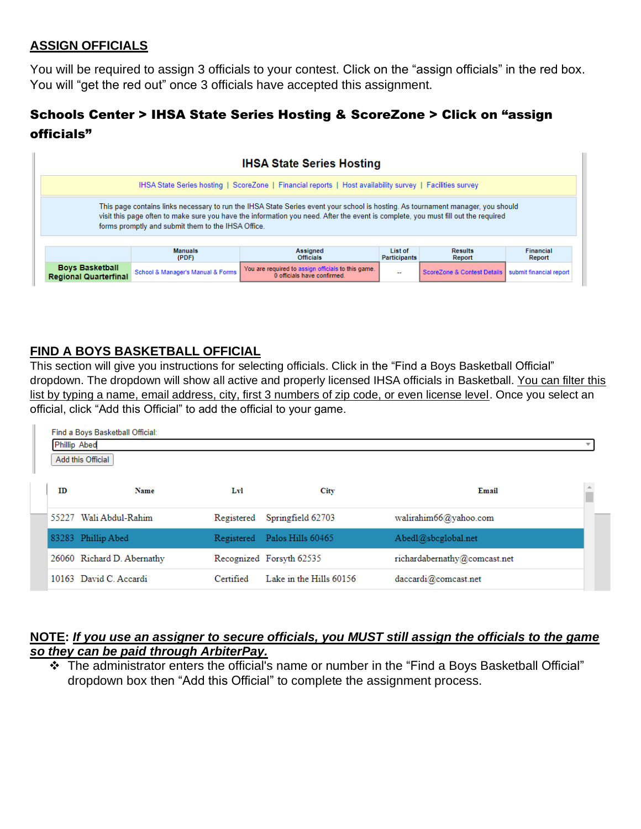### **ASSIGN OFFICIALS**

You will be required to assign 3 officials to your contest. Click on the "assign officials" in the red box. You will "get the red out" once 3 officials have accepted this assignment.

## Schools Center > IHSA State Series Hosting & ScoreZone > Click on "assign officials"

| <b>IHSA State Series Hosting</b>                                                                                                                                                                                                                                                                                           |                                   |                                                                                   |                          |                               |                         |  |  |  |
|----------------------------------------------------------------------------------------------------------------------------------------------------------------------------------------------------------------------------------------------------------------------------------------------------------------------------|-----------------------------------|-----------------------------------------------------------------------------------|--------------------------|-------------------------------|-------------------------|--|--|--|
| IHSA State Series hosting   ScoreZone   Financial reports   Host availability survey   Facilities survey                                                                                                                                                                                                                   |                                   |                                                                                   |                          |                               |                         |  |  |  |
| This page contains links necessary to run the IHSA State Series event your school is hosting. As tournament manager, you should<br>visit this page often to make sure you have the information you need. After the event is complete, you must fill out the required<br>forms promptly and submit them to the IHSA Office. |                                   |                                                                                   |                          |                               |                         |  |  |  |
|                                                                                                                                                                                                                                                                                                                            | <b>Manuals</b><br>(PDF)           | Assigned<br><b>Officials</b>                                                      | List of<br>Participants  | <b>Results</b><br>Report      | Financial<br>Report     |  |  |  |
| <b>Boys Basketball</b><br><b>Regional Quarterfinal</b>                                                                                                                                                                                                                                                                     | School & Manager's Manual & Forms | You are required to assign officials to this game.<br>0 officials have confirmed. | $\overline{\phantom{a}}$ | ScoreZone & Contest Details I | submit financial report |  |  |  |

## **FIND A BOYS BASKETBALL OFFICIAL**

This section will give you instructions for selecting officials. Click in the "Find a Boys Basketball Official" dropdown. The dropdown will show all active and properly licensed IHSA officials in Basketball. You can filter this list by typing a name, email address, city, first 3 numbers of zip code, or even license level. Once you select an official, click "Add this Official" to add the official to your game.

| Find a Boys Basketball Official:<br><b>Phillip Abed</b><br>Add this Official |                            |            |                              |                              |  |  |  |  |
|------------------------------------------------------------------------------|----------------------------|------------|------------------------------|------------------------------|--|--|--|--|
| ID                                                                           | Name                       | Lvl        | <b>City</b>                  | Email                        |  |  |  |  |
| 55227                                                                        | Wali Abdul-Rahim           | Registered | Springfield 62703            | walirahim66@yahoo.com        |  |  |  |  |
|                                                                              | 83283 Phillip Abed         |            | Registered Palos Hills 60465 | Abedl@sbcglobal.net          |  |  |  |  |
|                                                                              | 26060 Richard D. Abernathy |            | Recognized Forsyth 62535     | richardabernathy@comcast.net |  |  |  |  |
|                                                                              | 10163 David C. Accardi     | Certified  | Lake in the Hills 60156      | daccardi@comcast.net         |  |  |  |  |

#### **NOTE:** *If you use an assigner to secure officials, you MUST still assign the officials to the game so they can be paid through ArbiterPay.*

❖ The administrator enters the official's name or number in the "Find a Boys Basketball Official" dropdown box then "Add this Official" to complete the assignment process.